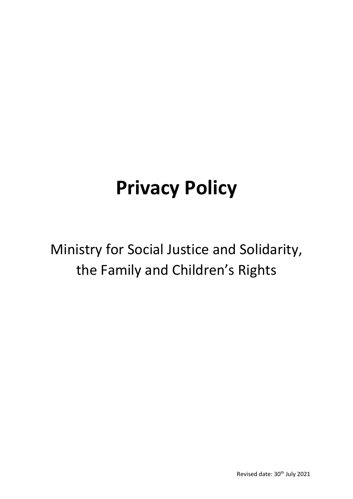# **Privacy Policy**

Ministry for Social Justice and Solidarity, the Family and Children's Rights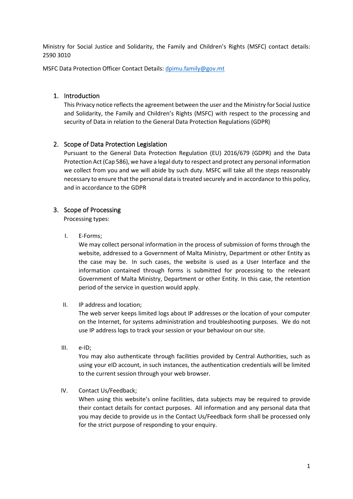Ministry for Social Justice and Solidarity, the Family and Children's Rights (MSFC) contact details: 2590 3010

MSFC Data Protection Officer Contact Details: [dpimu.family@gov.mt](mailto:dpimu.family@gov.mt)

#### 1. Introduction

This Privacy notice reflects the agreement between the user and the Ministry for Social Justice and Solidarity, the Family and Children's Rights (MSFC) with respect to the processing and security of Data in relation to the General Data Protection Regulations (GDPR)

# 2. Scope of Data Protection Legislation

Pursuant to the General Data Protection Regulation (EU) 2016/679 (GDPR) and the Data Protection Act (Cap 586), we have a legal duty to respect and protect any personal information we collect from you and we will abide by such duty. MSFC will take all the steps reasonably necessary to ensure that the personal data is treated securely and in accordance to this policy, and in accordance to the GDPR

# 3. Scope of Processing

Processing types:

I. E-Forms;

We may collect personal information in the process of submission of forms through the website, addressed to a Government of Malta Ministry, Department or other Entity as the case may be. In such cases, the website is used as a User Interface and the information contained through forms is submitted for processing to the relevant Government of Malta Ministry, Department or other Entity. In this case, the retention period of the service in question would apply.

II. IP address and location;

The web server keeps limited logs about IP addresses or the location of your computer on the Internet, for systems administration and troubleshooting purposes. We do not use IP address logs to track your session or your behaviour on our site.

III. e-ID;

You may also authenticate through facilities provided by Central Authorities, such as using your eID account, in such instances, the authentication credentials will be limited to the current session through your web browser.

IV. Contact Us/Feedback;

When using this website's online facilities, data subjects may be required to provide their contact details for contact purposes. All information and any personal data that you may decide to provide us in the Contact Us/Feedback form shall be processed only for the strict purpose of responding to your enquiry.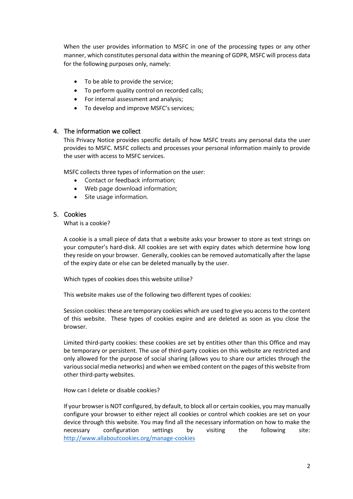When the user provides information to MSFC in one of the processing types or any other manner, which constitutes personal data within the meaning of GDPR, MSFC will process data for the following purposes only, namely:

- To be able to provide the service;
- To perform quality control on recorded calls;
- For internal assessment and analysis;
- To develop and improve MSFC's services;

# 4. The information we collect

This Privacy Notice provides specific details of how MSFC treats any personal data the user provides to MSFC. MSFC collects and processes your personal information mainly to provide the user with access to MSFC services.

MSFC collects three types of information on the user:

- Contact or feedback information;
- Web page download information;
- Site usage information.

# 5. Cookies

What is a cookie?

A cookie is a small piece of data that a website asks your browser to store as text strings on your computer's hard-disk. All cookies are set with expiry dates which determine how long they reside on your browser. Generally, cookies can be removed automatically after the lapse of the expiry date or else can be deleted manually by the user.

Which types of cookies does this website utilise?

This website makes use of the following two different types of cookies:

Session cookies: these are temporary cookies which are used to give you access to the content of this website. These types of cookies expire and are deleted as soon as you close the browser.

Limited third-party cookies: these cookies are set by entities other than this Office and may be temporary or persistent. The use of third-party cookies on this website are restricted and only allowed for the purpose of social sharing (allows you to share our articles through the various social media networks) and when we embed content on the pages of this website from other third-party websites.

How can I delete or disable cookies?

If your browser is NOT configured, by default, to block all or certain cookies, you may manually configure your browser to either reject all cookies or control which cookies are set on your device through this website. You may find all the necessary information on how to make the necessary configuration settings by visiting the following site: <http://www.allaboutcookies.org/manage-cookies>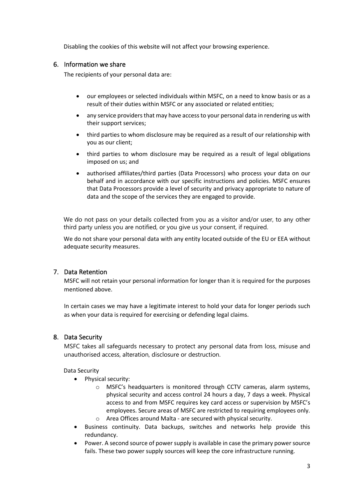Disabling the cookies of this website will not affect your browsing experience.

#### 6. Information we share

The recipients of your personal data are:

- our employees or selected individuals within MSFC, on a need to know basis or as a result of their duties within MSFC or any associated or related entities;
- any service providers that may have access to your personal data in rendering us with their support services;
- third parties to whom disclosure may be required as a result of our relationship with you as our client;
- third parties to whom disclosure may be required as a result of legal obligations imposed on us; and
- authorised affiliates/third parties (Data Processors) who process your data on our behalf and in accordance with our specific instructions and policies. MSFC ensures that Data Processors provide a level of security and privacy appropriate to nature of data and the scope of the services they are engaged to provide.

We do not pass on your details collected from you as a visitor and/or user, to any other third party unless you are notified, or you give us your consent, if required.

We do not share your personal data with any entity located outside of the EU or EEA without adequate security measures.

#### 7. Data Retention

MSFC will not retain your personal information for longer than it is required for the purposes mentioned above.

In certain cases we may have a legitimate interest to hold your data for longer periods such as when your data is required for exercising or defending legal claims.

#### 8. Data Security

MSFC takes all safeguards necessary to protect any personal data from loss, misuse and unauthorised access, alteration, disclosure or destruction.

Data Security

- Physical security:
	- o MSFC's headquarters is monitored through CCTV cameras, alarm systems, physical security and access control 24 hours a day, 7 days a week. Physical access to and from MSFC requires key card access or supervision by MSFC's employees. Secure areas of MSFC are restricted to requiring employees only.
	- o Area Offices around Malta are secured with physical security.
- Business continuity. Data backups, switches and networks help provide this redundancy.
- Power. A second source of power supply is available in case the primary power source fails. These two power supply sources will keep the core infrastructure running.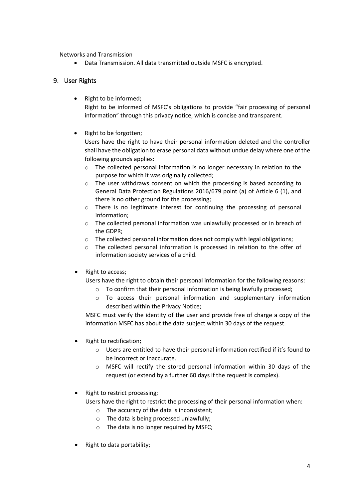Networks and Transmission

• Data Transmission. All data transmitted outside MSFC is encrypted.

# 9. User Rights

• Right to be informed;

Right to be informed of MSFC's obligations to provide "fair processing of personal information" through this privacy notice, which is concise and transparent.

• Right to be forgotten;

Users have the right to have their personal information deleted and the controller shall have the obligation to erase personal data without undue delay where one of the following grounds applies:

- $\circ$  The collected personal information is no longer necessary in relation to the purpose for which it was originally collected;
- o The user withdraws consent on which the processing is based according to General Data Protection Regulations 2016/679 point (a) of Article 6 (1), and there is no other ground for the processing;
- o There is no legitimate interest for continuing the processing of personal information;
- o The collected personal information was unlawfully processed or in breach of the GDPR;
- $\circ$  The collected personal information does not comply with legal obligations;
- o The collected personal information is processed in relation to the offer of information society services of a child.
- Right to access;

Users have the right to obtain their personal information for the following reasons:

- o To confirm that their personal information is being lawfully processed;
- o To access their personal information and supplementary information described within the Privacy Notice;

MSFC must verify the identity of the user and provide free of charge a copy of the information MSFC has about the data subject within 30 days of the request.

- Right to rectification;
	- $\circ$  Users are entitled to have their personal information rectified if it's found to be incorrect or inaccurate.
	- $\circ$  MSFC will rectify the stored personal information within 30 days of the request (or extend by a further 60 days if the request is complex).
- Right to restrict processing;

Users have the right to restrict the processing of their personal information when:

- o The accuracy of the data is inconsistent;
- o The data is being processed unlawfully;
- $\circ$  The data is no longer required by MSFC:
- Right to data portability;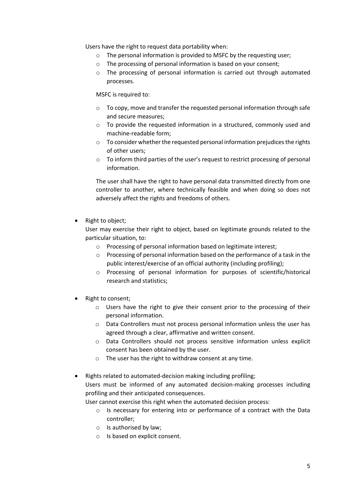Users have the right to request data portability when:

- o The personal information is provided to MSFC by the requesting user;
- o The processing of personal information is based on your consent;
- $\circ$  The processing of personal information is carried out through automated processes.

MSFC is required to:

- $\circ$  To copy, move and transfer the requested personal information through safe and secure measures;
- o To provide the requested information in a structured, commonly used and machine-readable form;
- $\circ$  To consider whether the requested personal information prejudices the rights of other users;
- $\circ$  To inform third parties of the user's request to restrict processing of personal information.

The user shall have the right to have personal data transmitted directly from one controller to another, where technically feasible and when doing so does not adversely affect the rights and freedoms of others.

• Right to object;

User may exercise their right to object, based on legitimate grounds related to the particular situation, to:

- o Processing of personal information based on legitimate interest;
- o Processing of personal information based on the performance of a task in the public interest/exercise of an official authority (including profiling);
- o Processing of personal information for purposes of scientific/historical research and statistics;
- Right to consent;
	- o Users have the right to give their consent prior to the processing of their personal information.
	- $\circ$  Data Controllers must not process personal information unless the user has agreed through a clear, affirmative and written consent.
	- o Data Controllers should not process sensitive information unless explicit consent has been obtained by the user.
	- o The user has the right to withdraw consent at any time.
- Rights related to automated-decision making including profiling; Users must be informed of any automated decision-making processes including profiling and their anticipated consequences.

User cannot exercise this right when the automated decision process:

- $\circ$  Is necessary for entering into or performance of a contract with the Data controller;
- o Is authorised by law;
- o Is based on explicit consent.